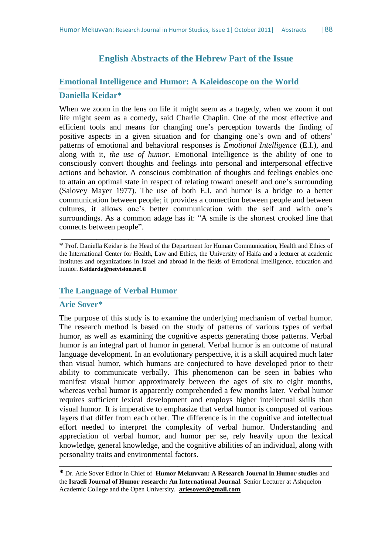# **English Abstracts of the Hebrew Part of the Issue**

### **Emotional Intelligence and Humor: A Kaleidoscope on the World**

#### **Daniella Keidar\***

When we zoom in the lens on life it might seem as a tragedy, when we zoom it out life might seem as a comedy, said Charlie Chaplin. One of the most effective and efficient tools and means for changing one's perception towards the finding of positive aspects in a given situation and for changing one's own and of others' patterns of emotional and behavioral responses is *Emotional Intelligence* (E.I.), and along with it, *the use of humor.* Emotional Intelligence is the ability of one to consciously convert thoughts and feelings into personal and interpersonal effective actions and behavior. A conscious combination of thoughts and feelings enables one to attain an optimal state in respect of relating toward oneself and one's surrounding (Salovey Mayer 1977). The use of both E.I. and humor is a bridge to a better communication between people; it provides a connection between people and between cultures, it allows one's better communication with the self and with one's surroundings. As a common adage has it: "A smile is the shortest crooked line that connects between people".

\* Prof. Daniella Keidar is the Head of the Department for Human Communication, Health and Ethics of the International Center for Health, Law and Ethics, the University of Haifa and a lecturer at academic institutes and organizations in Israel and abroad in the fields of Emotional Intelligence, education and humor. **Keidarda@netvision.net.il**

\_\_\_\_\_\_\_\_\_\_\_\_\_\_\_\_\_\_\_\_\_\_\_\_\_\_\_\_\_\_\_\_\_\_\_\_\_\_\_\_\_\_\_\_\_\_\_\_\_\_\_\_\_\_\_\_\_\_\_\_\_\_\_\_\_\_\_\_

#### **The Language of Verbal Humor**

#### **Arie Sover\***

The purpose of this study is to examine the underlying mechanism of verbal humor. The research method is based on the study of patterns of various types of verbal humor, as well as examining the cognitive aspects generating those patterns. Verbal humor is an integral part of humor in general. Verbal humor is an outcome of natural language development. In an evolutionary perspective, it is a skill acquired much later than visual humor, which humans are conjectured to have developed prior to their ability to communicate verbally. This phenomenon can be seen in babies who manifest visual humor approximately between the ages of six to eight months, whereas verbal humor is apparently comprehended a few months later. Verbal humor requires sufficient lexical development and employs higher intellectual skills than visual humor. It is imperative to emphasize that verbal humor is composed of various layers that differ from each other. The difference is in the cognitive and intellectual effort needed to interpret the complexity of verbal humor. Understanding and appreciation of verbal humor, and humor per se, rely heavily upon the lexical knowledge, general knowledge, and the cognitive abilities of an individual, along with personality traits and environmental factors.

**\_\_\_\_\_\_\_\_\_\_\_\_\_\_\_\_\_\_\_\_\_\_\_\_\_\_\_\_\_\_\_\_\_\_\_\_\_\_\_\_\_\_\_\_\_\_\_\_\_\_\_\_\_\_\_\_\_\_\_\_\_\_\_\_\_\_\_\_\_**

**<sup>\*</sup>** Dr. Arie Sover Editor in Chief of **Humor Mekuvvan: A Research Journal in Humor studies** and the **Israeli Journal of Humor research: An International Journal***.* Senior Lecturer at Ashquelon Academic College and the Open University. **[ariesover@gmail.com](mailto:ariesover@gmail.com)**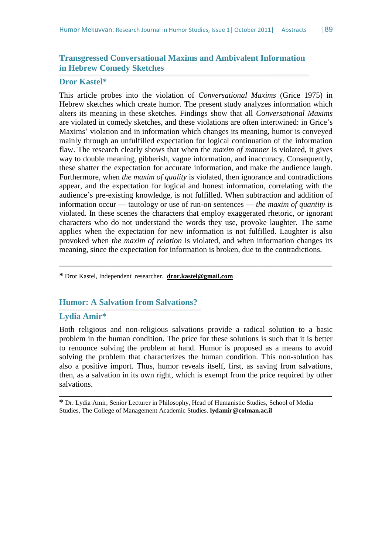# **Transgressed Conversational Maxims and Ambivalent Information in Hebrew Comedy Sketches**

## **Dror Kastel\***

This article probes into the violation of *Conversational Maxims* (Grice 1975) in Hebrew sketches which create humor. The present study analyzes information which alters its meaning in these sketches. Findings show that all *Conversational Maxims* are violated in comedy sketches, and these violations are often intertwined: in Grice's Maxims' violation and in information which changes its meaning, humor is conveyed mainly through an unfulfilled expectation for logical continuation of the information flaw. The research clearly shows that when the *maxim of manner* is violated, it gives way to double meaning, gibberish, vague information, and inaccuracy. Consequently, these shatter the expectation for accurate information, and make the audience laugh. Furthermore, when *the maxim of quality* is violated, then ignorance and contradictions appear, and the expectation for logical and honest information, correlating with the audience's pre-existing knowledge, is not fulfilled. When subtraction and addition of information occur — tautology or use of run-on sentences — *the maxim of quantity* is violated. In these scenes the characters that employ exaggerated rhetoric, or ignorant characters who do not understand the words they use, provoke laughter. The same applies when the expectation for new information is not fulfilled. Laughter is also provoked when *the maxim of relation* is violated, and when information changes its meaning, since the expectation for information is broken, due to the contradictions.

**\_\_\_\_\_\_\_\_\_\_\_\_\_\_\_\_\_\_\_\_\_\_\_\_\_\_\_\_\_\_\_\_\_\_\_\_\_\_\_\_\_\_\_\_\_\_\_\_\_\_\_\_\_\_\_\_\_\_\_\_\_\_\_\_\_\_\_\_\_**

**\*** Dror Kastel, Independent researcher. **[dror.kastel@gmail.com](mailto:dror.kastel@gmail.com)**

## **Humor: A Salvation from Salvations?**

#### **Lydia Amir\***

Both religious and non-religious salvations provide a radical solution to a basic problem in the human condition. The price for these solutions is such that it is better to renounce solving the problem at hand. Humor is proposed as a means to avoid solving the problem that characterizes the human condition. This non-solution has also a positive import. Thus, humor reveals itself, first, as saving from salvations, then, as a salvation in its own right, which is exempt from the price required by other salvations.

**\_\_\_\_\_\_\_\_\_\_\_\_\_\_\_\_\_\_\_\_\_\_\_\_\_\_\_\_\_\_\_\_\_\_\_\_\_\_\_\_\_\_\_\_\_\_\_\_\_\_\_\_\_\_\_\_\_\_\_\_\_\_\_\_\_\_\_\_\_**

**\*** Dr. Lydia Amir, Senior Lecturer in Philosophy, Head of Humanistic Studies, School of Media Studies, The College of Management Academic Studies. **lydamir@colman.ac.il**